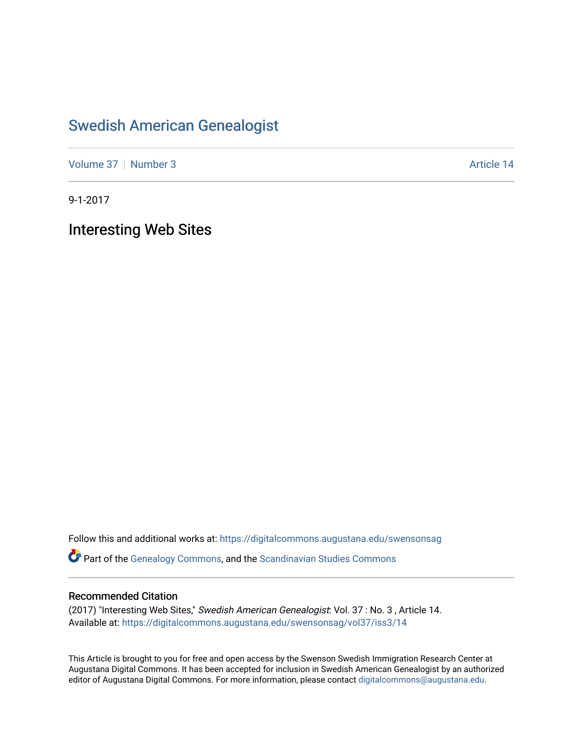## [Swedish American Genealogist](https://digitalcommons.augustana.edu/swensonsag)

[Volume 37](https://digitalcommons.augustana.edu/swensonsag/vol37) [Number 3](https://digitalcommons.augustana.edu/swensonsag/vol37/iss3) Article 14

9-1-2017

Interesting Web Sites

Follow this and additional works at: [https://digitalcommons.augustana.edu/swensonsag](https://digitalcommons.augustana.edu/swensonsag?utm_source=digitalcommons.augustana.edu%2Fswensonsag%2Fvol37%2Fiss3%2F14&utm_medium=PDF&utm_campaign=PDFCoverPages) 

Part of the [Genealogy Commons,](http://network.bepress.com/hgg/discipline/1342?utm_source=digitalcommons.augustana.edu%2Fswensonsag%2Fvol37%2Fiss3%2F14&utm_medium=PDF&utm_campaign=PDFCoverPages) and the [Scandinavian Studies Commons](http://network.bepress.com/hgg/discipline/485?utm_source=digitalcommons.augustana.edu%2Fswensonsag%2Fvol37%2Fiss3%2F14&utm_medium=PDF&utm_campaign=PDFCoverPages)

## Recommended Citation

(2017) "Interesting Web Sites," Swedish American Genealogist: Vol. 37 : No. 3 , Article 14. Available at: [https://digitalcommons.augustana.edu/swensonsag/vol37/iss3/14](https://digitalcommons.augustana.edu/swensonsag/vol37/iss3/14?utm_source=digitalcommons.augustana.edu%2Fswensonsag%2Fvol37%2Fiss3%2F14&utm_medium=PDF&utm_campaign=PDFCoverPages) 

This Article is brought to you for free and open access by the Swenson Swedish Immigration Research Center at Augustana Digital Commons. It has been accepted for inclusion in Swedish American Genealogist by an authorized editor of Augustana Digital Commons. For more information, please contact [digitalcommons@augustana.edu.](mailto:digitalcommons@augustana.edu)